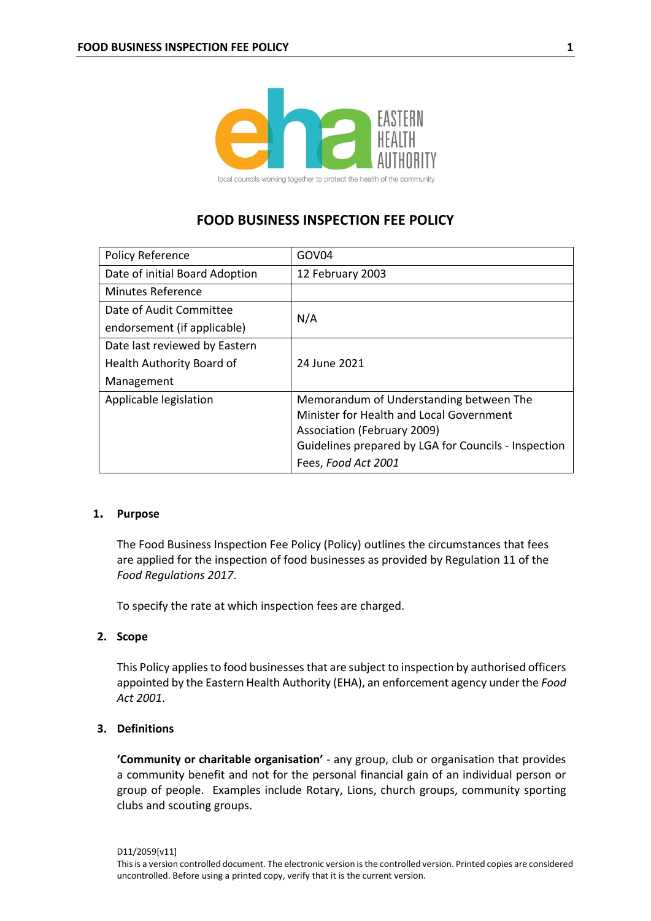

local councils working together to protect the health of the community

# **FOOD BUSINESS INSPECTION FEE POLICY**

| <b>Policy Reference</b>        | GOV04                                                |
|--------------------------------|------------------------------------------------------|
| Date of initial Board Adoption | 12 February 2003                                     |
| <b>Minutes Reference</b>       |                                                      |
| Date of Audit Committee        | N/A                                                  |
| endorsement (if applicable)    |                                                      |
| Date last reviewed by Eastern  |                                                      |
| Health Authority Board of      | 24 June 2021                                         |
| Management                     |                                                      |
| Applicable legislation         | Memorandum of Understanding between The              |
|                                | Minister for Health and Local Government             |
|                                | Association (February 2009)                          |
|                                | Guidelines prepared by LGA for Councils - Inspection |
|                                | Fees, Food Act 2001                                  |

# **1. Purpose**

The Food Business Inspection Fee Policy (Policy) outlines the circumstances that fees are applied for the inspection of food businesses as provided by Regulation 11 of the *Food Regulations 2017*.

To specify the rate at which inspection fees are charged.

# **2. Scope**

This Policy applies to food businesses that are subject to inspection by authorised officers appointed by the Eastern Health Authority (EHA), an enforcement agency under the *Food Act 2001*.

# **3. Definitions**

**'Community or charitable organisation'** - any group, club or organisation that provides a community benefit and not for the personal financial gain of an individual person or group of people. Examples include Rotary, Lions, church groups, community sporting clubs and scouting groups.

D11/2059[v11]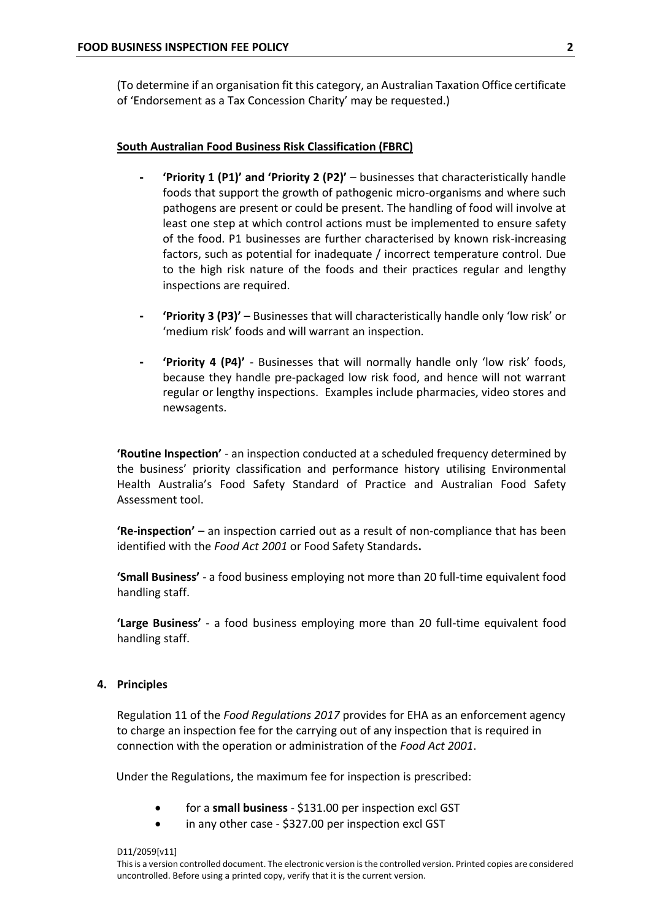(To determine if an organisation fit this category, an Australian Taxation Office certificate of 'Endorsement as a Tax Concession Charity' may be requested.)

#### **South Australian Food Business Risk Classification (FBRC)**

- **- 'Priority 1 (P1)' and 'Priority 2 (P2)'** businesses that characteristically handle foods that support the growth of pathogenic micro-organisms and where such pathogens are present or could be present. The handling of food will involve at least one step at which control actions must be implemented to ensure safety of the food. P1 businesses are further characterised by known risk-increasing factors, such as potential for inadequate / incorrect temperature control. Due to the high risk nature of the foods and their practices regular and lengthy inspections are required.
- **- 'Priority 3 (P3)'** Businesses that will characteristically handle only 'low risk' or 'medium risk' foods and will warrant an inspection.
- **- 'Priority 4 (P4)'** Businesses that will normally handle only 'low risk' foods, because they handle pre-packaged low risk food, and hence will not warrant regular or lengthy inspections. Examples include pharmacies, video stores and newsagents.

**'Routine Inspection'** - an inspection conducted at a scheduled frequency determined by the business' priority classification and performance history utilising Environmental Health Australia's Food Safety Standard of Practice and Australian Food Safety Assessment tool.

**'Re-inspection'** – an inspection carried out as a result of non-compliance that has been identified with the *Food Act 2001* or Food Safety Standards**.**

**'Small Business'** - a food business employing not more than 20 full-time equivalent food handling staff.

**'Large Business'** - a food business employing more than 20 full-time equivalent food handling staff.

#### **4. Principles**

Regulation 11 of the *Food Regulations 2017* provides for EHA as an enforcement agency to charge an inspection fee for the carrying out of any inspection that is required in connection with the operation or administration of the *Food Act 2001*.

Under the Regulations, the maximum fee for inspection is prescribed:

- for a **small business** \$131.00 per inspection excl GST
- in any other case \$327.00 per inspection excl GST

D11/2059[v11] This is a version controlled document. The electronic version is the controlled version. Printed copies are considered uncontrolled. Before using a printed copy, verify that it is the current version.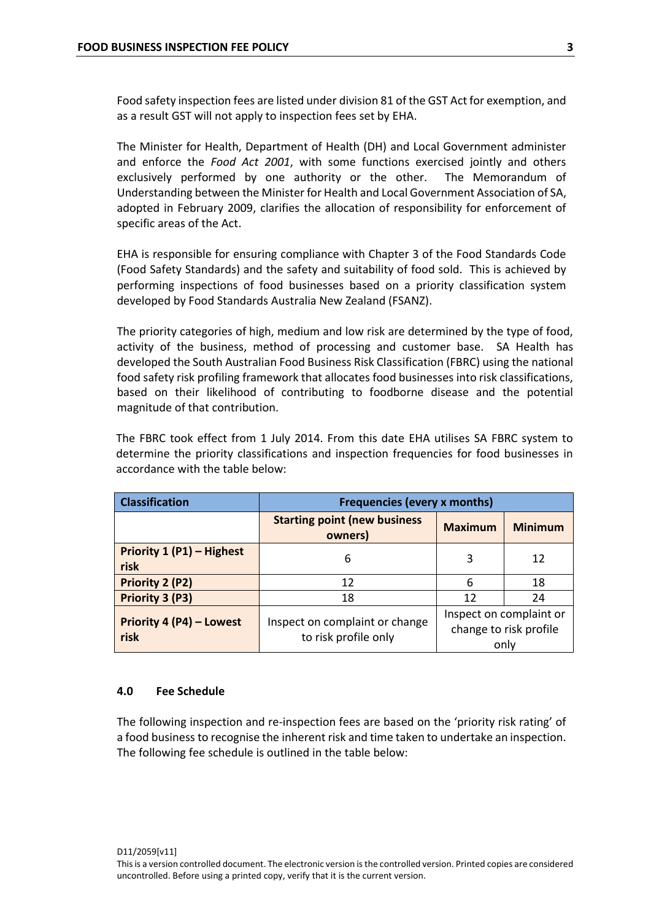Food safety inspection fees are listed under division 81 of the GST Act for exemption, and as a result GST will not apply to inspection fees set by EHA.

The Minister for Health, Department of Health (DH) and Local Government administer and enforce the *Food Act 2001*, with some functions exercised jointly and others exclusively performed by one authority or the other. The Memorandum of Understanding between the Minister for Health and Local Government Association of SA, adopted in February 2009, clarifies the allocation of responsibility for enforcement of specific areas of the Act.

EHA is responsible for ensuring compliance with Chapter 3 of the Food Standards Code (Food Safety Standards) and the safety and suitability of food sold. This is achieved by performing inspections of food businesses based on a priority classification system developed by Food Standards Australia New Zealand (FSANZ).

The priority categories of high, medium and low risk are determined by the type of food, activity of the business, method of processing and customer base. SA Health has developed the South Australian Food Business Risk Classification (FBRC) using the national food safety risk profiling framework that allocates food businesses into risk classifications, based on their likelihood of contributing to foodborne disease and the potential magnitude of that contribution.

The FBRC took effect from 1 July 2014. From this date EHA utilises SA FBRC system to determine the priority classifications and inspection frequencies for food businesses in accordance with the table below:

| <b>Classification</b>             | <b>Frequencies (every x months)</b>                    |                                                           |                |
|-----------------------------------|--------------------------------------------------------|-----------------------------------------------------------|----------------|
|                                   | <b>Starting point (new business</b><br>owners)         | <b>Maximum</b>                                            | <b>Minimum</b> |
| Priority 1 (P1) - Highest<br>risk | 6                                                      | 3                                                         | 12             |
| <b>Priority 2 (P2)</b>            | 12                                                     | 6                                                         | 18             |
| Priority 3 (P3)                   | 18                                                     | 12                                                        | 24             |
| Priority 4 (P4) - Lowest<br>risk  | Inspect on complaint or change<br>to risk profile only | Inspect on complaint or<br>change to risk profile<br>only |                |

# **4.0 Fee Schedule**

The following inspection and re-inspection fees are based on the 'priority risk rating' of a food business to recognise the inherent risk and time taken to undertake an inspection. The following fee schedule is outlined in the table below: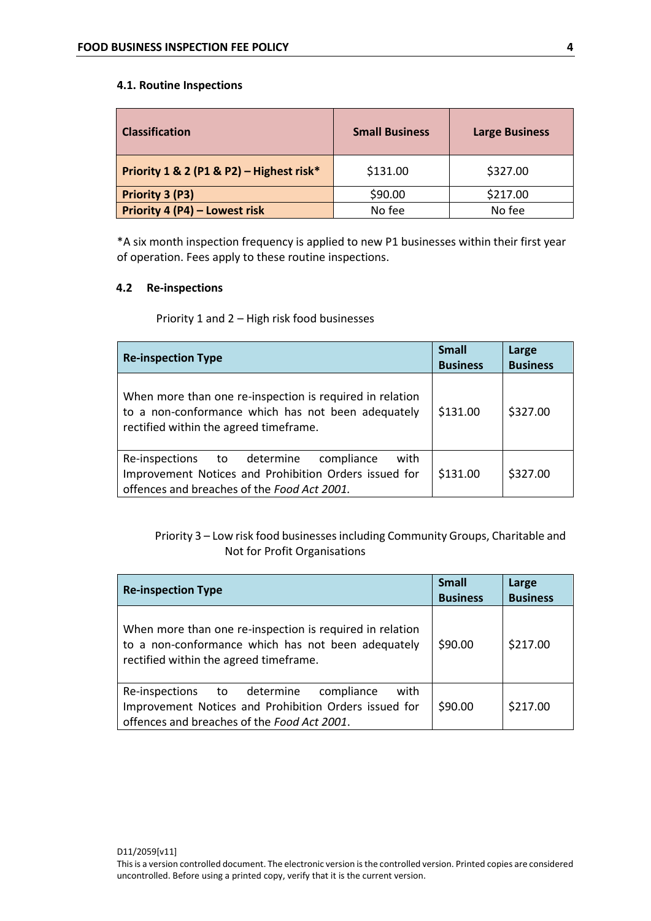# **4.1. Routine Inspections**

| <b>Classification</b>                    | <b>Small Business</b> | <b>Large Business</b> |
|------------------------------------------|-----------------------|-----------------------|
| Priority 1 & 2 (P1 & P2) - Highest risk* | \$131.00              | \$327.00              |
| Priority 3 (P3)                          | \$90.00               | \$217.00              |
| Priority 4 (P4) - Lowest risk            | No fee                | No fee                |

\*A six month inspection frequency is applied to new P1 businesses within their first year of operation. Fees apply to these routine inspections.

# **4.2 Re-inspections**

Priority 1 and 2 – High risk food businesses

| <b>Re-inspection Type</b>                                                                                                                                 | <b>Small</b><br><b>Business</b> | Large<br><b>Business</b> |
|-----------------------------------------------------------------------------------------------------------------------------------------------------------|---------------------------------|--------------------------|
| When more than one re-inspection is required in relation<br>to a non-conformance which has not been adequately<br>rectified within the agreed timeframe.  | \$131.00                        | \$327.00                 |
| with<br>Re-inspections to determine<br>compliance<br>Improvement Notices and Prohibition Orders issued for<br>offences and breaches of the Food Act 2001. | \$131.00                        | \$327.00                 |

Priority 3 – Low risk food businesses including Community Groups, Charitable and Not for Profit Organisations

| <b>Re-inspection Type</b>                                                                                                                                 | <b>Small</b><br><b>Business</b> | Large<br><b>Business</b> |
|-----------------------------------------------------------------------------------------------------------------------------------------------------------|---------------------------------|--------------------------|
| When more than one re-inspection is required in relation<br>to a non-conformance which has not been adequately<br>rectified within the agreed timeframe.  | \$90.00                         | \$217.00                 |
| Re-inspections to determine<br>compliance<br>with<br>Improvement Notices and Prohibition Orders issued for<br>offences and breaches of the Food Act 2001. | \$90.00                         | \$217.00                 |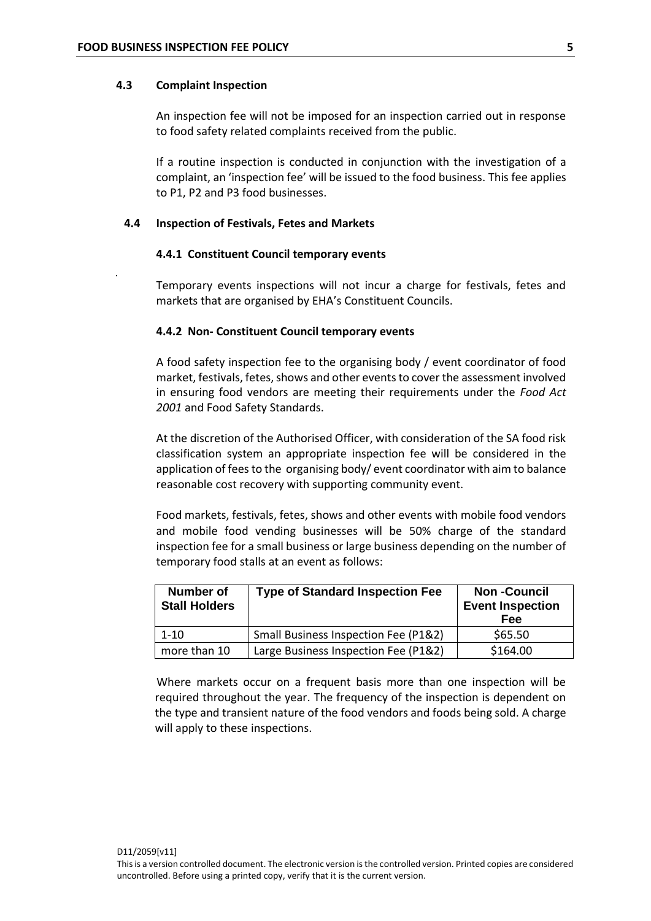#### **4.3 Complaint Inspection**

An inspection fee will not be imposed for an inspection carried out in response to food safety related complaints received from the public.

If a routine inspection is conducted in conjunction with the investigation of a complaint, an 'inspection fee' will be issued to the food business. This fee applies to P1, P2 and P3 food businesses.

#### **4.4 Inspection of Festivals, Fetes and Markets**

#### **4.4.1 Constituent Council temporary events**

Temporary events inspections will not incur a charge for festivals, fetes and markets that are organised by EHA's Constituent Councils.

#### **4.4.2 Non- Constituent Council temporary events**

A food safety inspection fee to the organising body / event coordinator of food market, festivals, fetes, shows and other events to cover the assessment involved in ensuring food vendors are meeting their requirements under the *Food Act 2001* and Food Safety Standards.

At the discretion of the Authorised Officer, with consideration of the SA food risk classification system an appropriate inspection fee will be considered in the application of fees to the organising body/ event coordinator with aim to balance reasonable cost recovery with supporting community event.

Food markets, festivals, fetes, shows and other events with mobile food vendors and mobile food vending businesses will be 50% charge of the standard inspection fee for a small business or large business depending on the number of temporary food stalls at an event as follows:

| <b>Number of</b><br><b>Stall Holders</b> | <b>Type of Standard Inspection Fee</b> | <b>Non-Council</b><br><b>Event Inspection</b><br>Fee |
|------------------------------------------|----------------------------------------|------------------------------------------------------|
| $1 - 10$                                 | Small Business Inspection Fee (P1&2)   | \$65.50                                              |
| more than 10                             | Large Business Inspection Fee (P1&2)   | \$164.00                                             |

Where markets occur on a frequent basis more than one inspection will be required throughout the year. The frequency of the inspection is dependent on the type and transient nature of the food vendors and foods being sold. A charge will apply to these inspections.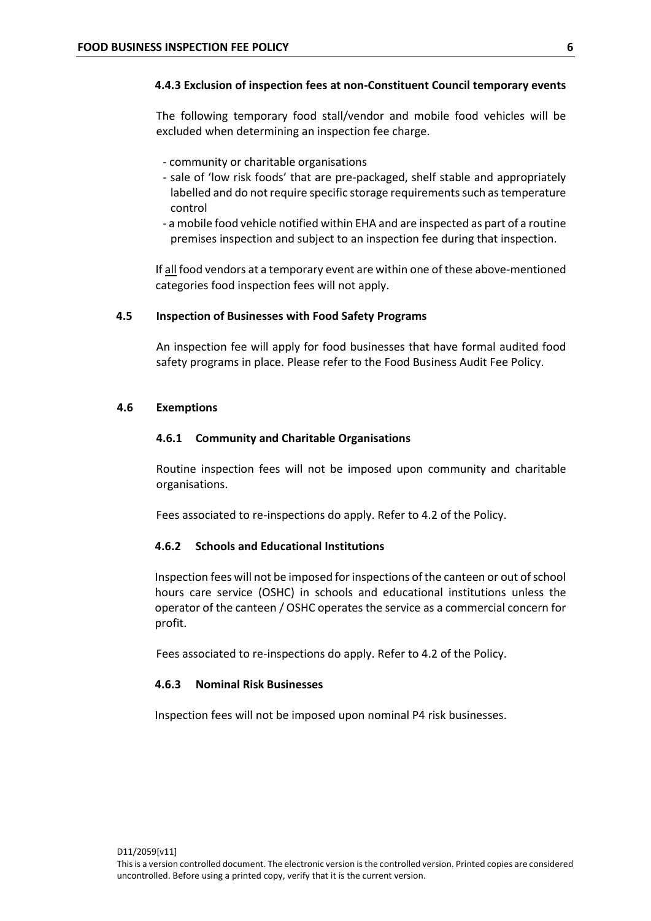# **4.4.3 Exclusion of inspection fees at non-Constituent Council temporary events**

The following temporary food stall/vendor and mobile food vehicles will be excluded when determining an inspection fee charge.

- community or charitable organisations
- sale of 'low risk foods' that are pre-packaged, shelf stable and appropriately labelled and do not require specific storage requirements such as temperature control
- a mobile food vehicle notified within EHA and are inspected as part of a routine premises inspection and subject to an inspection fee during that inspection.

If all food vendors at a temporary event are within one of these above-mentioned categories food inspection fees will not apply.

#### **4.5 Inspection of Businesses with Food Safety Programs**

An inspection fee will apply for food businesses that have formal audited food safety programs in place. Please refer to the Food Business Audit Fee Policy.

#### **4.6 Exemptions**

# **4.6.1 Community and Charitable Organisations**

Routine inspection fees will not be imposed upon community and charitable organisations.

Fees associated to re-inspections do apply. Refer to 4.2 of the Policy.

# **4.6.2 Schools and Educational Institutions**

Inspection fees will not be imposed for inspections of the canteen or out of school hours care service (OSHC) in schools and educational institutions unless the operator of the canteen / OSHC operates the service as a commercial concern for profit.

Fees associated to re-inspections do apply. Refer to 4.2 of the Policy.

# **4.6.3 Nominal Risk Businesses**

Inspection fees will not be imposed upon nominal P4 risk businesses.